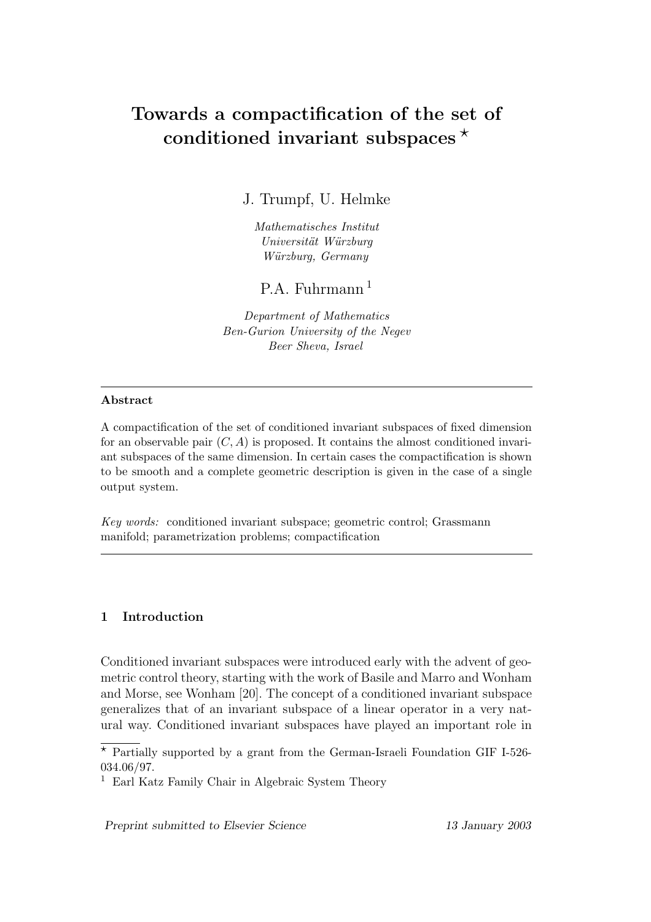# Towards a compactification of the set of conditioned invariant subspaces  $\star$

J. Trumpf, U. Helmke

Mathematisches Institut Universität Würzburg Würzburg, Germany

P.A. Fuhrmann <sup>1</sup>

Department of Mathematics Ben-Gurion University of the Negev Beer Sheva, Israel

### Abstract

A compactification of the set of conditioned invariant subspaces of fixed dimension for an observable pair  $(C, A)$  is proposed. It contains the almost conditioned invariant subspaces of the same dimension. In certain cases the compactification is shown to be smooth and a complete geometric description is given in the case of a single output system.

Key words: conditioned invariant subspace; geometric control; Grassmann manifold; parametrization problems; compactification

## 1 Introduction

Conditioned invariant subspaces were introduced early with the advent of geometric control theory, starting with the work of Basile and Marro and Wonham and Morse, see Wonham [20]. The concept of a conditioned invariant subspace generalizes that of an invariant subspace of a linear operator in a very natural way. Conditioned invariant subspaces have played an important role in

Preprint submitted to Elsevier Science 13 January 2003

<sup>\*</sup> Partially supported by a grant from the German-Israeli Foundation GIF I-526-034.06/97.

<sup>1</sup> Earl Katz Family Chair in Algebraic System Theory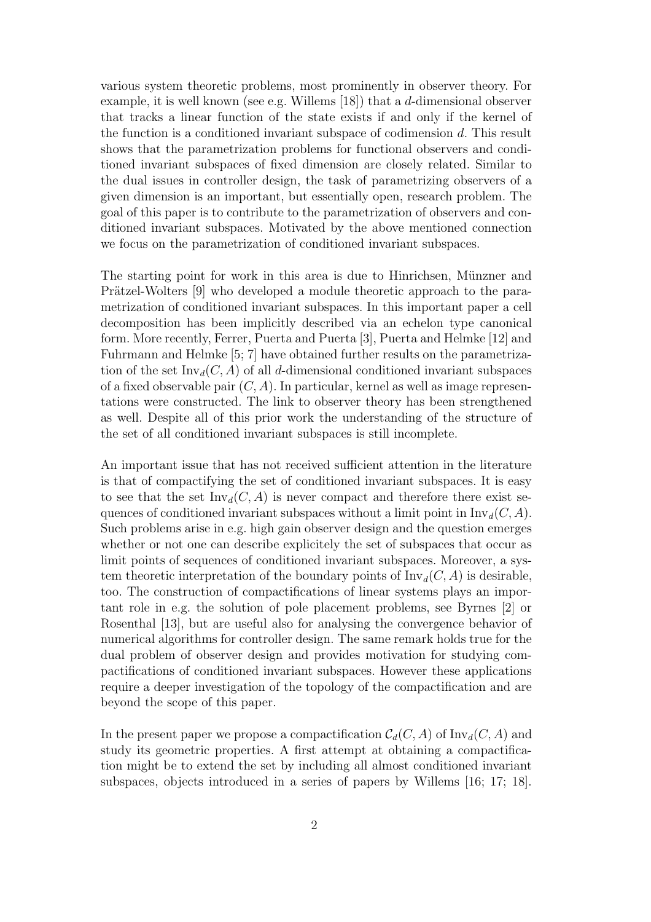various system theoretic problems, most prominently in observer theory. For example, it is well known (see e.g. Willems [18]) that a d-dimensional observer that tracks a linear function of the state exists if and only if the kernel of the function is a conditioned invariant subspace of codimension d. This result shows that the parametrization problems for functional observers and conditioned invariant subspaces of fixed dimension are closely related. Similar to the dual issues in controller design, the task of parametrizing observers of a given dimension is an important, but essentially open, research problem. The goal of this paper is to contribute to the parametrization of observers and conditioned invariant subspaces. Motivated by the above mentioned connection we focus on the parametrization of conditioned invariant subspaces.

The starting point for work in this area is due to Hinrichsen, Münzner and Prätzel-Wolters [9] who developed a module theoretic approach to the parametrization of conditioned invariant subspaces. In this important paper a cell decomposition has been implicitly described via an echelon type canonical form. More recently, Ferrer, Puerta and Puerta [3], Puerta and Helmke [12] and Fuhrmann and Helmke [5; 7] have obtained further results on the parametrization of the set  $\text{Inv}_d(C, A)$  of all d-dimensional conditioned invariant subspaces of a fixed observable pair  $(C, A)$ . In particular, kernel as well as image representations were constructed. The link to observer theory has been strengthened as well. Despite all of this prior work the understanding of the structure of the set of all conditioned invariant subspaces is still incomplete.

An important issue that has not received sufficient attention in the literature is that of compactifying the set of conditioned invariant subspaces. It is easy to see that the set  $\text{Inv}_d(C, A)$  is never compact and therefore there exist sequences of conditioned invariant subspaces without a limit point in  $\text{Inv}_d(C, A)$ . Such problems arise in e.g. high gain observer design and the question emerges whether or not one can describe explicitely the set of subspaces that occur as limit points of sequences of conditioned invariant subspaces. Moreover, a system theoretic interpretation of the boundary points of  $\text{Inv}_d(C, A)$  is desirable, too. The construction of compactifications of linear systems plays an important role in e.g. the solution of pole placement problems, see Byrnes [2] or Rosenthal [13], but are useful also for analysing the convergence behavior of numerical algorithms for controller design. The same remark holds true for the dual problem of observer design and provides motivation for studying compactifications of conditioned invariant subspaces. However these applications require a deeper investigation of the topology of the compactification and are beyond the scope of this paper.

In the present paper we propose a compactification  $\mathcal{C}_d(C, A)$  of  $\text{Inv}_d(C, A)$  and study its geometric properties. A first attempt at obtaining a compactification might be to extend the set by including all almost conditioned invariant subspaces, objects introduced in a series of papers by Willems [16; 17; 18].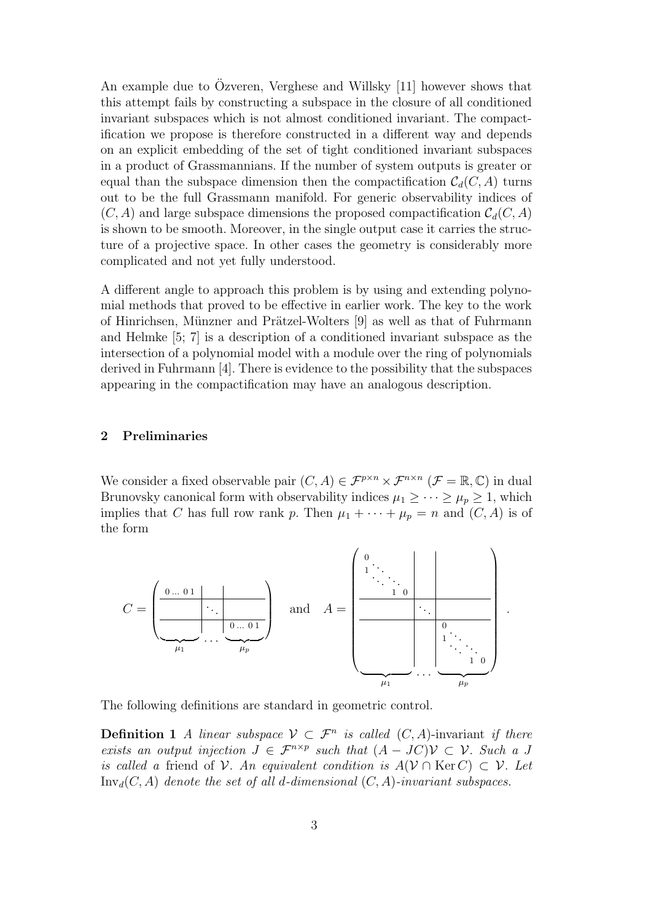An example due to Ozveren, Verghese and Willsky [11] however shows that this attempt fails by constructing a subspace in the closure of all conditioned invariant subspaces which is not almost conditioned invariant. The compactification we propose is therefore constructed in a different way and depends on an explicit embedding of the set of tight conditioned invariant subspaces in a product of Grassmannians. If the number of system outputs is greater or equal than the subspace dimension then the compactification  $\mathcal{C}_d(C, A)$  turns out to be the full Grassmann manifold. For generic observability indices of  $(C, A)$  and large subspace dimensions the proposed compactification  $\mathcal{C}_d(C, A)$ is shown to be smooth. Moreover, in the single output case it carries the structure of a projective space. In other cases the geometry is considerably more complicated and not yet fully understood.

A different angle to approach this problem is by using and extending polynomial methods that proved to be effective in earlier work. The key to the work of Hinrichsen, Münzner and Prätzel-Wolters [9] as well as that of Fuhrmann and Helmke [5; 7] is a description of a conditioned invariant subspace as the intersection of a polynomial model with a module over the ring of polynomials derived in Fuhrmann [4]. There is evidence to the possibility that the subspaces appearing in the compactification may have an analogous description.

### 2 Preliminaries

We consider a fixed observable pair  $(C, A) \in \mathcal{F}^{p \times n} \times \mathcal{F}^{n \times n}$   $(\mathcal{F} = \mathbb{R}, \mathbb{C})$  in dual Brunovsky canonical form with observability indices  $\mu_1 \geq \cdots \geq \mu_p \geq 1$ , which implies that C has full row rank p. Then  $\mu_1 + \cdots + \mu_p = n$  and  $(C, A)$  is of the form



The following definitions are standard in geometric control.

**Definition 1** A linear subspace  $V \subset \mathcal{F}^n$  is called  $(C, A)$ -invariant if there exists an output injection  $J \in \mathcal{F}^{n \times p}$  such that  $(A - JC)\mathcal{V} \subset \mathcal{V}$ . Such a J is called a friend of V. An equivalent condition is  $A(V \cap \text{Ker } C) \subset V$ . Let  $Inv_d(C, A)$  denote the set of all d-dimensional  $(C, A)$ -invariant subspaces.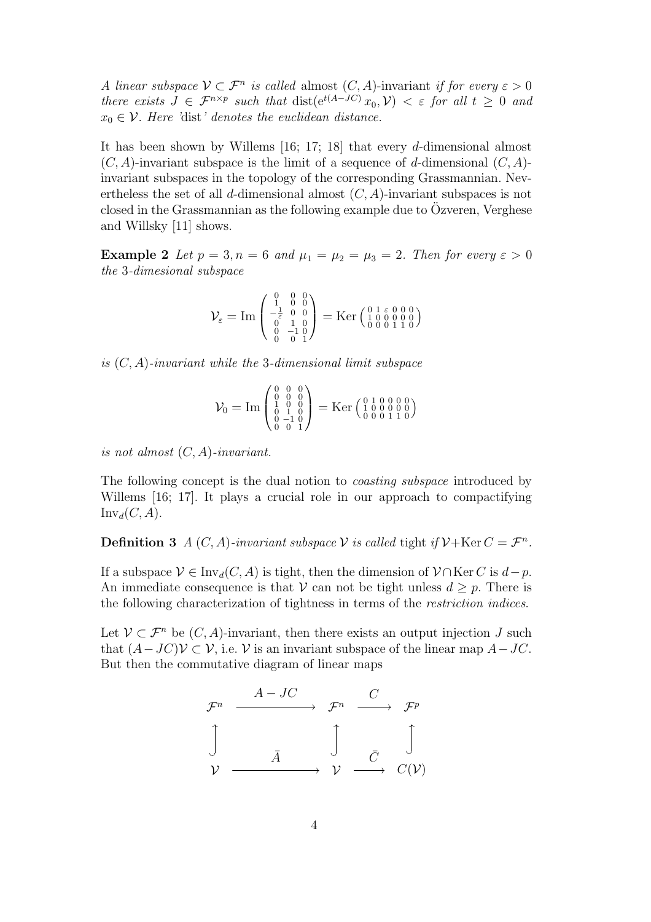A linear subspace  $V \subset \mathcal{F}^n$  is called almost  $(C, A)$ -invariant if for every  $\varepsilon > 0$ there exists  $J \in \mathcal{F}^{n \times p}$  such that  $dist(e^{t(A-JC)}x_0, V) < \varepsilon$  for all  $t \geq 0$  and  $x_0 \in \mathcal{V}$ . Here 'dist' denotes the euclidean distance.

It has been shown by Willems [16; 17; 18] that every d-dimensional almost  $(C, A)$ -invariant subspace is the limit of a sequence of d-dimensional  $(C, A)$ invariant subspaces in the topology of the corresponding Grassmannian. Nevertheless the set of all d-dimensional almost  $(C, A)$ -invariant subspaces is not closed in the Grassmannian as the following example due to  $O$ zveren, Verghese and Willsky [11] shows.

**Example 2** Let  $p = 3, n = 6$  and  $\mu_1 = \mu_2 = \mu_3 = 2$ . Then for every  $\varepsilon > 0$ the 3-dimesional subspace

$$
\mathcal{V}_{\varepsilon} = \mathrm{Im} \left( \begin{smallmatrix} 0 & 0 & 0 \\ 1 & 0 & 0 \\ -\frac{1}{\varepsilon} & 0 & 0 \\ 0 & 1 & 0 \\ 0 & -1 & 0 \\ 0 & 0 & 1 \end{smallmatrix} \right) = \mathrm{Ker} \left( \begin{smallmatrix} 0 & 1 & \varepsilon & 0 & 0 & 0 \\ 1 & 0 & 0 & 0 & 0 & 0 \\ 0 & 0 & 0 & 1 & 1 & 0 \end{smallmatrix} \right)
$$

is  $(C, A)$ -invariant while the 3-dimensional limit subspace

$$
\mathcal{V}_0 = \text{Im} \begin{pmatrix} 0 & 0 & 0 \\ 0 & 0 & 0 \\ 1 & 0 & 0 \\ 0 & 1 & 0 \\ 0 & -1 & 0 \\ 0 & 0 & 1 \end{pmatrix} = \text{Ker} \begin{pmatrix} 0 & 1 & 0 & 0 & 0 \\ 1 & 0 & 0 & 0 & 0 \\ 0 & 0 & 0 & 1 & 1 \\ 0 & 0 & 0 & 1 & 1 \end{pmatrix}
$$

is not almost  $(C, A)$ -invariant.

The following concept is the dual notion to *coasting subspace* introduced by Willems [16; 17]. It plays a crucial role in our approach to compactifying  $\text{Inv}_d(C, A)$ .

**Definition 3** A  $(C, A)$ -invariant subspace V is called tight if  $V + Ker C = \mathcal{F}^n$ .

If a subspace  $V \in Inv_d(C, A)$  is tight, then the dimension of  $V \cap \text{Ker } C$  is  $d-p$ . An immediate consequence is that V can not be tight unless  $d \geq p$ . There is the following characterization of tightness in terms of the restriction indices.

Let  $\mathcal{V} \subset \mathcal{F}^n$  be  $(C, A)$ -invariant, then there exists an output injection J such that  $(A-JC)\mathcal{V} \subset \mathcal{V}$ , i.e.  $\mathcal{V}$  is an invariant subspace of the linear map  $A-JC$ . But then the commutative diagram of linear maps

$$
\begin{array}{ccc}\n\mathcal{F}^n & \xrightarrow{\quad A \quad JC} & \mathcal{F}^n & \xrightarrow{\quad C} & \mathcal{F}^p \\
\updownarrow & & & \updownarrow & & \updownarrow & \\
\mathcal{V} & \xrightarrow{\quad \bar{A} \quad} & \mathcal{V} & \xrightarrow{\quad \bar{C} \quad} & \\
\mathcal{V} & \xrightarrow{\quad \bar{A} \quad} & \mathcal{V} & \xrightarrow{\quad \bar{C} \quad} & \\
\end{array}
$$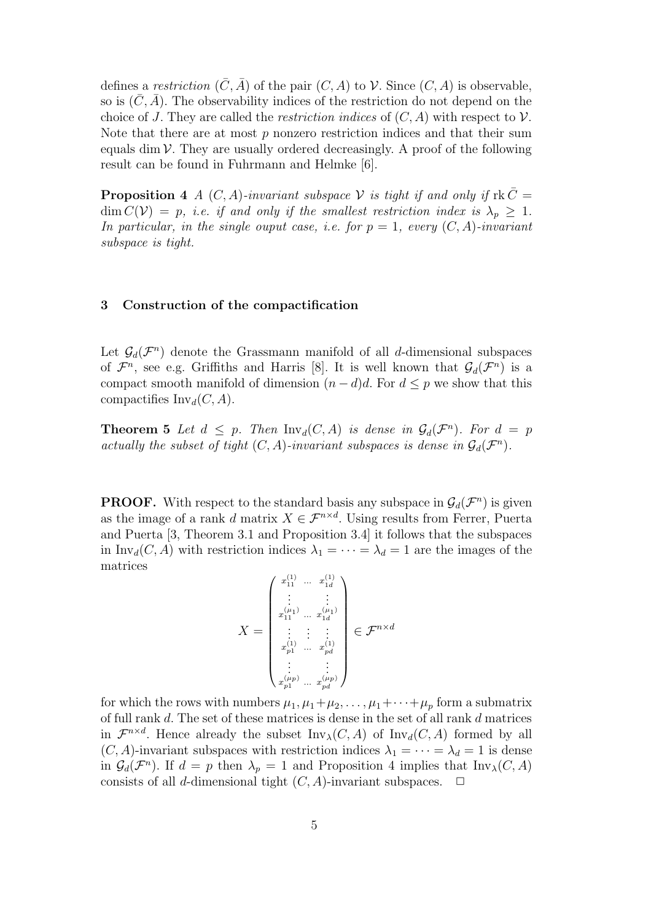defines a restriction  $(\bar{C}, \bar{A})$  of the pair  $(C, A)$  to V. Since  $(C, A)$  is observable, so is  $(\bar{C}, \bar{A})$ . The observability indices of the restriction do not depend on the choice of J. They are called the *restriction indices* of  $(C, A)$  with respect to  $\mathcal V$ . Note that there are at most  $p$  nonzero restriction indices and that their sum equals dim  $\mathcal V$ . They are usually ordered decreasingly. A proof of the following result can be found in Fuhrmann and Helmke [6].

**Proposition 4** A  $(C, A)$ -invariant subspace V is tight if and only if  $rk\bar{C}$  $\dim C(\mathcal{V}) = p$ , i.e. if and only if the smallest restriction index is  $\lambda_p \geq 1$ . In particular, in the single ouput case, i.e. for  $p = 1$ , every  $(C, A)$ -invariant subspace is tight.

### 3 Construction of the compactification

Let  $\mathcal{G}_d(\mathcal{F}^n)$  denote the Grassmann manifold of all d-dimensional subspaces of  $\mathcal{F}^n$ , see e.g. Griffiths and Harris [8]. It is well known that  $\mathcal{G}_d(\mathcal{F}^n)$  is a compact smooth manifold of dimension  $(n - d)d$ . For  $d \leq p$  we show that this compactifies  $\text{Inv}_d(C, A)$ .

**Theorem 5** Let  $d \leq p$ . Then  $\text{Inv}_d(C, A)$  is dense in  $\mathcal{G}_d(\mathcal{F}^n)$ . For  $d = p$ actually the subset of tight  $(C, A)$ -invariant subspaces is dense in  $\mathcal{G}_d(\mathcal{F}^n)$ .

**PROOF.** With respect to the standard basis any subspace in  $\mathcal{G}_d(\mathcal{F}^n)$  is given as the image of a rank d matrix  $X \in \mathcal{F}^{n \times d}$ . Using results from Ferrer, Puerta and Puerta [3, Theorem 3.1 and Proposition 3.4] it follows that the subspaces in Inv<sub>d</sub>(C, A) with restriction indices  $\lambda_1 = \cdots = \lambda_d = 1$  are the images of the matrices

$$
X = \begin{pmatrix} x_{11}^{(1)} & \dots & x_{1d}^{(1)} \\ \vdots & & \vdots \\ x_{11}^{(\mu_1)} & \dots & x_{1d}^{(\mu_1)} \\ \vdots & \vdots & \vdots \\ x_{p1}^{(1)} & \dots & x_{pd}^{(1)} \\ \vdots & & \vdots \\ x_{p1}^{(\mu_p)} & \dots & x_{pd}^{(\mu_p)} \end{pmatrix} \in \mathcal{F}^{n \times d}
$$

for which the rows with numbers  $\mu_1, \mu_1 + \mu_2, \ldots, \mu_1 + \cdots + \mu_p$  form a submatrix of full rank d. The set of these matrices is dense in the set of all rank d matrices in  $\mathcal{F}^{n \times d}$ . Hence already the subset  $\text{Inv}_{\lambda}(C, A)$  of  $\text{Inv}_{d}(C, A)$  formed by all  $(C, A)$ -invariant subspaces with restriction indices  $\lambda_1 = \cdots = \lambda_d = 1$  is dense in  $\mathcal{G}_d(\mathcal{F}^n)$ . If  $d = p$  then  $\lambda_p = 1$  and Proposition 4 implies that  $\text{Inv}_\lambda(C, A)$ consists of all d-dimensional tight  $(C, A)$ -invariant subspaces.  $\Box$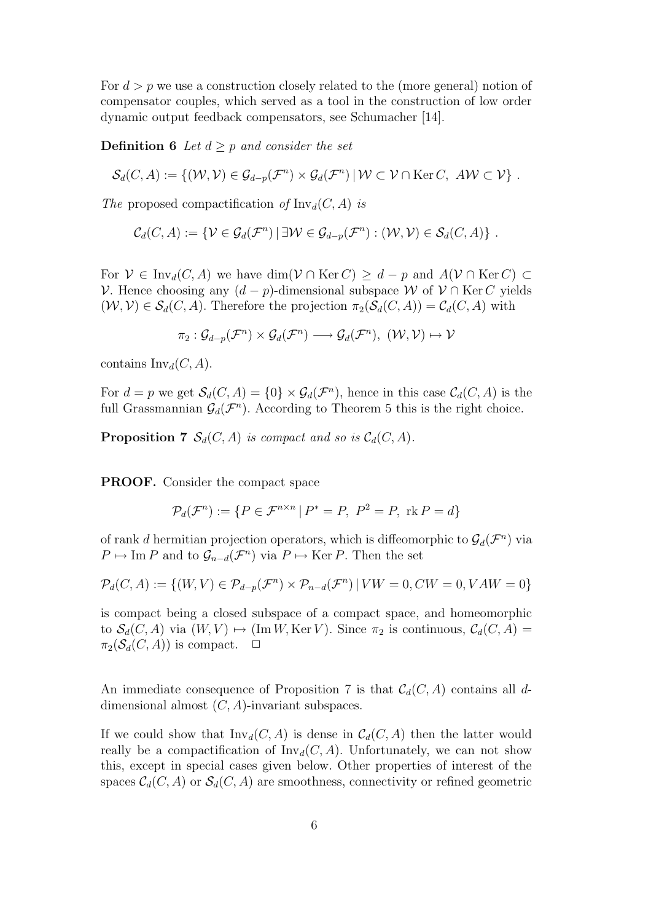For  $d > p$  we use a construction closely related to the (more general) notion of compensator couples, which served as a tool in the construction of low order dynamic output feedback compensators, see Schumacher [14].

**Definition 6** Let  $d \geq p$  and consider the set

$$
\mathcal{S}_d(C, A) := \{(\mathcal{W}, \mathcal{V}) \in \mathcal{G}_{d-p}(\mathcal{F}^n) \times \mathcal{G}_d(\mathcal{F}^n) \, | \, \mathcal{W} \subset \mathcal{V} \cap \text{Ker } C, \, A\mathcal{W} \subset \mathcal{V}\}.
$$

The proposed compactification of  $\text{Inv}_d(C, A)$  is

$$
\mathcal{C}_d(C,A) := \{ \mathcal{V} \in \mathcal{G}_d(\mathcal{F}^n) \mid \exists \mathcal{W} \in \mathcal{G}_{d-p}(\mathcal{F}^n) : (\mathcal{W},\mathcal{V}) \in \mathcal{S}_d(C,A) \}.
$$

For  $V \in Inv_d(C, A)$  we have  $\dim(V \cap \text{Ker } C) \geq d - p$  and  $A(V \cap \text{Ker } C) \subset$ V. Hence choosing any  $(d - p)$ -dimensional subspace W of  $V ∩$  Ker C yields  $(W, V) \in \mathcal{S}_d(C, A)$ . Therefore the projection  $\pi_2(\mathcal{S}_d(C, A)) = \mathcal{C}_d(C, A)$  with

$$
\pi_2: \mathcal{G}_{d-p}(\mathcal{F}^n) \times \mathcal{G}_{d}(\mathcal{F}^n) \longrightarrow \mathcal{G}_{d}(\mathcal{F}^n), \; (\mathcal{W}, \mathcal{V}) \mapsto \mathcal{V}
$$

contains  $\text{Inv}_d(C, A)$ .

For  $d = p$  we get  $\mathcal{S}_d(C, A) = \{0\} \times \mathcal{G}_d(\mathcal{F}^n)$ , hence in this case  $\mathcal{C}_d(C, A)$  is the full Grassmannian  $\mathcal{G}_d(\mathcal{F}^n)$ . According to Theorem 5 this is the right choice.

**Proposition 7**  $S_d(C, A)$  is compact and so is  $C_d(C, A)$ .

PROOF. Consider the compact space

$$
\mathcal{P}_d(\mathcal{F}^n) := \{ P \in \mathcal{F}^{n \times n} \mid P^* = P, \ P^2 = P, \ \text{rk } P = d \}
$$

of rank d hermitian projection operators, which is diffeomorphic to  $\mathcal{G}_d(\mathcal{F}^n)$  via  $P \mapsto \text{Im } P$  and to  $\mathcal{G}_{n-d}(\mathcal{F}^n)$  via  $P \mapsto \text{Ker } P$ . Then the set

$$
\mathcal{P}_d(C, A) := \{ (W, V) \in \mathcal{P}_{d-p}(\mathcal{F}^n) \times \mathcal{P}_{n-d}(\mathcal{F}^n) \mid VW = 0, CW = 0, VAW = 0 \}
$$

is compact being a closed subspace of a compact space, and homeomorphic to  $\mathcal{S}_d(C, A)$  via  $(W, V) \mapsto (\text{Im } W, \text{Ker } V)$ . Since  $\pi_2$  is continuous,  $\mathcal{C}_d(C, A) =$  $\pi_2(\mathcal{S}_d(C, A))$  is compact.  $\Box$ 

An immediate consequence of Proposition 7 is that  $\mathcal{C}_d(C, A)$  contains all ddimensional almost  $(C, A)$ -invariant subspaces.

If we could show that  $\text{Inv}_d(C, A)$  is dense in  $\mathcal{C}_d(C, A)$  then the latter would really be a compactification of  $\text{Inv}_d(C, A)$ . Unfortunately, we can not show this, except in special cases given below. Other properties of interest of the spaces  $\mathcal{C}_d(C, A)$  or  $\mathcal{S}_d(C, A)$  are smoothness, connectivity or refined geometric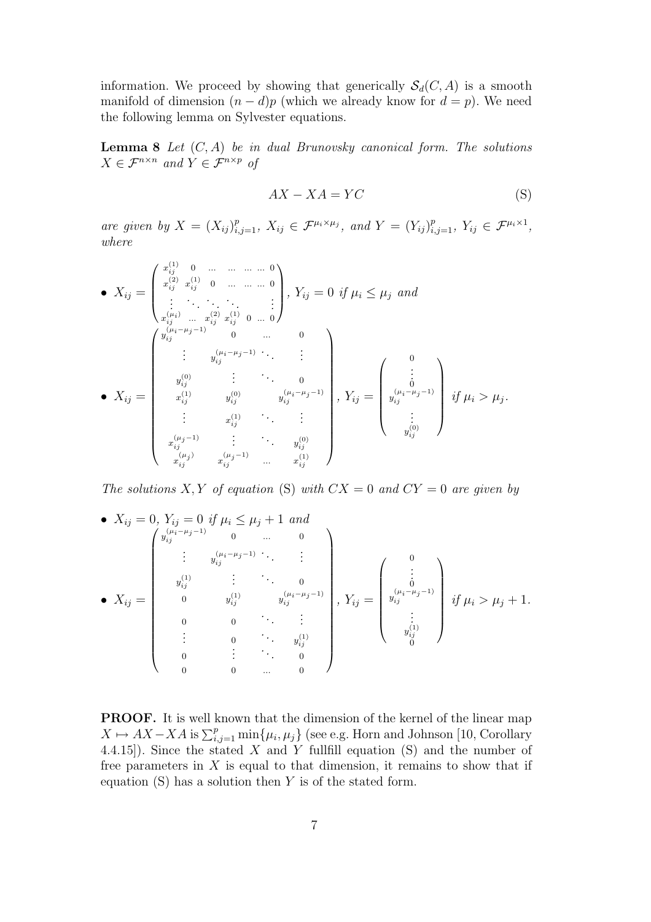information. We proceed by showing that generically  $\mathcal{S}_d(C, A)$  is a smooth manifold of dimension  $(n - d)p$  (which we already know for  $d = p$ ). We need the following lemma on Sylvester equations.

**Lemma 8** Let  $(C, A)$  be in dual Brunovsky canonical form. The solutions  $X \in \mathcal{F}^{n \times n}$  and  $Y \in \mathcal{F}^{n \times p}$  of

$$
AX - XA = YC \tag{S}
$$

are given by  $X = (X_{ij})_{i,j=1}^p$ ,  $X_{ij} \in \mathcal{F}^{\mu_i \times \mu_j}$ , and  $Y = (Y_{ij})_{i,j=1}^p$ ,  $Y_{ij} \in \mathcal{F}^{\mu_i \times 1}$ , where

$$
\bullet X_{ij} = \begin{pmatrix} x_{ij}^{(1)} & 0 & \dots & \dots & \dots & 0 \\ x_{ij}^{(2)} & x_{ij}^{(1)} & 0 & \dots & \dots & 0 \\ \vdots & \vdots & \ddots & \vdots & \vdots & \vdots \\ x_{ij}^{(\mu_i)} & \dots & x_{ij}^{(2)} & x_{ij}^{(1)} & 0 & \dots & 0 \\ \vdots & \vdots & \vdots & \vdots & \vdots & \vdots & \vdots \\ y_{ij}^{(0)} & \dots & \dots & \dots & \vdots & \vdots \\ y_{ij}^{(0)} & \dots & \dots & \dots & \vdots & \vdots \\ y_{ij}^{(0)} & \dots & \dots & \dots & \dots & \vdots \\ x_{ij}^{(1)} & y_{ij}^{(0)} & y_{ij}^{(\mu_i - \mu_j - 1)} & \dots & \vdots \\ \vdots & \vdots & \vdots & \vdots & \vdots & \vdots \\ x_{ij}^{(1)} & \dots & \dots & \dots & \dots & \vdots \\ x_{ij}^{(\mu_j - 1)} & \dots & \dots & \dots & \vdots & \vdots \\ x_{ij}^{(\mu_j - 1)} & \dots & \dots & \dots & \dots & \vdots \\ x_{ij}^{(\mu_j - 1)} & \dots & \dots & \dots & \dots & \vdots \\ x_{ij}^{(\mu_j - 1)} & \dots & \dots & \dots & \dots & \vdots \\ x_{ij}^{(\mu_j - 1)} & \dots & \dots & \dots & \dots & \vdots \\ x_{ij}^{(\mu_j - 1)} & \dots & \dots & \dots & \dots & \vdots \\ x_{ij}^{(\mu_j - 1)} & \dots & \dots & \dots & \dots & \vdots \\ x_{ij}^{(\mu_j - 1)} & \dots & \dots & \dots & \dots & \vdots \\ x_{ij}^{(\mu_j - 1)} & \dots & \dots & \dots & \dots & \vdots \\ x_{ij}^{(\mu_j - 1)} & \dots & \dots & \dots & \dots & \vdots \\ x_{ij}^{(\mu_j - 1)} & \dots & \dots & \dots & \dots & \vdots \\ x_{ij}^{(\mu_j - 1)} & \dots & \dots & \dots & \dots & \vdots \\ x_{ij}^{(\mu_j - 1)} & \dots & \dots & \dots & \dots & \vdots \\ x_{ij}^{(\mu_j - 1)} & \dots & \dots & \dots & \dots & \vdots \\ x_{ij}^{(\mu_j - 1)} & \dots & \dots & \dots & \vdots &
$$

The solutions X, Y of equation (S) with  $CX = 0$  and  $CY = 0$  are given by

• 
$$
X_{ij} = 0
$$
,  $Y_{ij} = 0$  if  $\mu_i \le \mu_j + 1$  and  
\n
$$
\begin{pmatrix}\ny_{ij}^{(\mu_i - \mu_j - 1)} & 0 & \dots & 0 \\
\vdots & y_{ij}^{(\mu_i - \mu_j - 1)} & \ddots & \vdots \\
y_{ij}^{(1)} & \vdots & \ddots & 0 \\
0 & y_{ij}^{(1)} & y_{ij}^{(\mu_i - \mu_j - 1)}\n\end{pmatrix}, Y_{ij} = \begin{pmatrix}\n0 \\
\vdots \\
y_{ij}^{(\mu_i - \mu_j - 1)} \\
\vdots \\
y_{ij}^{(1)}\n\end{pmatrix}
$$
 if  $\mu_i > \mu_j + 1$ .  
\n
$$
\begin{pmatrix}\n0 \\
\vdots \\
0 \\
\vdots \\
0\n\end{pmatrix}
$$

PROOF. It is well known that the dimension of the kernel of the linear map  $X \mapsto AX - XA$  is  $\sum_{i,j=1}^p \min\{\mu_i, \mu_j\}$  (see e.g. Horn and Johnson [10, Corollary 4.4.15]). Since the stated  $X$  and  $Y$  fullfill equation (S) and the number of free parameters in  $X$  is equal to that dimension, it remains to show that if equation  $(S)$  has a solution then Y is of the stated form.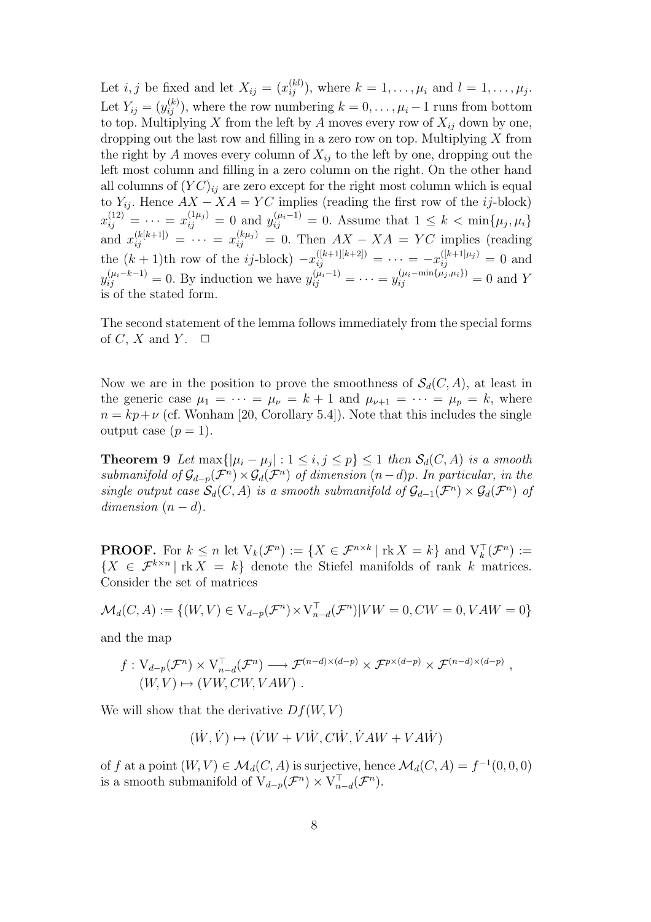Let *i*, *j* be fixed and let  $X_{ij} = (x_{ij}^{(kl)})$ , where  $k = 1, \ldots, \mu_i$  and  $l = 1, \ldots, \mu_j$ . Let  $Y_{ij} = (y_{ij}^{(k)})$ , where the row numbering  $k = 0, \ldots, \mu_i - 1$  runs from bottom to top. Multiplying X from the left by A moves every row of  $X_{ij}$  down by one, dropping out the last row and filling in a zero row on top. Multiplying  $X$  from the right by A moves every column of  $X_{ij}$  to the left by one, dropping out the left most column and filling in a zero column on the right. On the other hand all columns of  $(YC)_{ii}$  are zero except for the right most column which is equal to  $Y_{ij}$ . Hence  $AX - XA = YC$  implies (reading the first row of the *ij*-block)  $x_{ij}^{(12)} = \cdots = x_{ij}^{(1\mu_j)} = 0$  and  $y_{ij}^{(\mu_i - 1)} = 0$ . Assume that  $1 \leq k < \min\{\mu_j, \mu_i\}$ and  $x_{ij}^{(k[k+1])} = \cdots = x_{ij}^{(k\mu_j)} = 0$ . Then  $AX - XA = YC$  implies (reading the  $(k + 1)$ th row of the *ij*-block)  $-x_{ij}^{([k+1][k+2])} = \cdots = -x_{ij}^{([k+1]\mu_j)} = 0$  and  $y_{ij}^{(\mu_i - k - 1)} = 0$ . By induction we have  $y_{ij}^{(\mu_i - 1)} = \cdots = y_{ij}^{(\mu_i - \min\{\mu_j, \mu_i\})} = 0$  and Y is of the stated form.

The second statement of the lemma follows immediately from the special forms of C, X and Y.  $\Box$ 

Now we are in the position to prove the smoothness of  $\mathcal{S}_d(C, A)$ , at least in the generic case  $\mu_1 = \cdots = \mu_{\nu} = k + 1$  and  $\mu_{\nu+1} = \cdots = \mu_p = k$ , where  $n = kp+\nu$  (cf. Wonham [20, Corollary 5.4]). Note that this includes the single output case  $(p = 1)$ .

**Theorem 9** Let  $\max\{|\mu_i - \mu_j| : 1 \leq i, j \leq p\} \leq 1$  then  $\mathcal{S}_d(C, A)$  is a smooth submanifold of  $\mathcal{G}_{d-p}(\mathcal{F}^n) \times \mathcal{G}_d(\mathcal{F}^n)$  of dimension  $(n-d)p$ . In particular, in the single output case  $\mathcal{S}_d(C, A)$  is a smooth submanifold of  $\mathcal{G}_{d-1}(\mathcal{F}^n) \times \mathcal{G}_d(\mathcal{F}^n)$  of dimension  $(n - d)$ .

**PROOF.** For  $k \leq n$  let  $V_k(\mathcal{F}^n) := \{X \in \mathcal{F}^{n \times k} \mid \text{rk } X = k\}$  and  $V_k^{\top}(\mathcal{F}^n) :=$  ${X \in \mathcal{F}^{k \times n} \mid \text{rk } X = k}$  denote the Stiefel manifolds of rank k matrices. Consider the set of matrices

$$
\mathcal{M}_d(C, A) := \{ (W, V) \in V_{d-p}(\mathcal{F}^n) \times V_{n-d}^\top(\mathcal{F}^n) | VW = 0, CW = 0, VAW = 0 \}
$$

and the map

$$
f: V_{d-p}(\mathcal{F}^n) \times V_{n-d}^\top(\mathcal{F}^n) \longrightarrow \mathcal{F}^{(n-d)\times(d-p)} \times \mathcal{F}^{p\times(d-p)} \times \mathcal{F}^{(n-d)\times(d-p)},
$$
  
(W, V) \mapsto (VW, CW, VAW).

We will show that the derivative  $Df(W, V)$ 

$$
(\dot{W}, \dot{V}) \mapsto (\dot{V}W + V\dot{W}, C\dot{W}, \dot{V}AW + VAW)
$$

of f at a point  $(W, V) \in \mathcal{M}_d(C, A)$  is surjective, hence  $\mathcal{M}_d(C, A) = f^{-1}(0, 0, 0)$ is a smooth submanifold of  $V_{d-p}(\mathcal{F}^n) \times V_{n-d}^{\top}(\mathcal{F}^n)$ .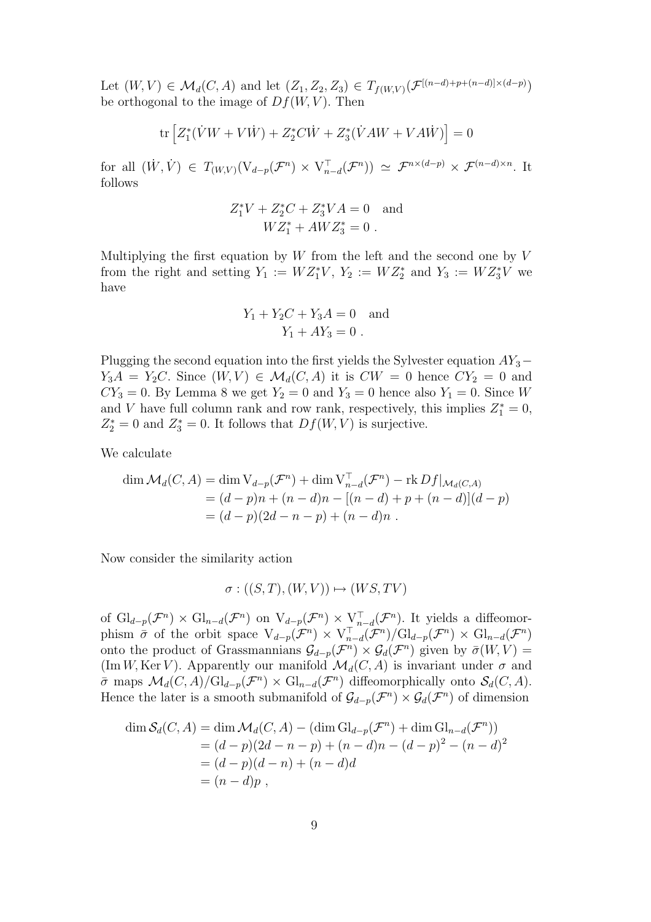Let  $(W, V) \in \mathcal{M}_d(C, A)$  and let  $(Z_1, Z_2, Z_3) \in T_{f(W, V)}(\mathcal{F}^{[(n-d)+p+(n-d)] \times (d-p)})$ be orthogonal to the image of  $Df(W, V)$ . Then

$$
\text{tr}\left[Z_1^*(\dot{V}W + V\dot{W}) + Z_2^*C\dot{W} + Z_3^*(\dot{V}AW + VA\dot{W})\right] = 0
$$

for all  $(\dot{W}, \dot{V}) \in T_{(W,V)}(\mathcal{V}_{d-p}(\mathcal{F}^n) \times \mathcal{V}_{n-d}^{\top}(\mathcal{F}^n)) \simeq \mathcal{F}^{n \times (d-p)} \times \mathcal{F}^{(n-d) \times n}$ . It follows

$$
Z_1^*V + Z_2^*C + Z_3^*VA = 0 \text{ and}
$$
  

$$
WZ_1^* + AWZ_3^* = 0.
$$

Multiplying the first equation by  $W$  from the left and the second one by  $V$ from the right and setting  $Y_1 := WZ_1^*V$ ,  $Y_2 := WZ_2^*$  and  $Y_3 := WZ_3^*V$  we have

$$
Y_1 + Y_2C + Y_3A = 0 \text{ and}
$$
  

$$
Y_1 + AY_3 = 0.
$$

Plugging the second equation into the first yields the Sylvester equation  $AY_3 Y_3A = Y_2C$ . Since  $(W, V) \in \mathcal{M}_d(C, A)$  it is  $CW = 0$  hence  $CY_2 = 0$  and  $CY_3 = 0$ . By Lemma 8 we get  $Y_2 = 0$  and  $Y_3 = 0$  hence also  $Y_1 = 0$ . Since W and V have full column rank and row rank, respectively, this implies  $Z_1^* = 0$ ,  $Z_2^* = 0$  and  $Z_3^* = 0$ . It follows that  $Df(W, V)$  is surjective.

We calculate

$$
\dim \mathcal{M}_d(C, A) = \dim V_{d-p}(\mathcal{F}^n) + \dim V_{n-d}^{\top}(\mathcal{F}^n) - \text{rk } Df|_{\mathcal{M}_d(C, A)}
$$
  
=  $(d-p)n + (n-d)n - [(n-d) + p + (n-d)](d-p)$   
=  $(d-p)(2d-n-p) + (n-d)n$ .

Now consider the similarity action

$$
\sigma: ((S, T), (W, V)) \mapsto (WS, TV)
$$

of  $\mathrm{Gl}_{d-p}(\mathcal{F}^n) \times \mathrm{Gl}_{n-d}(\mathcal{F}^n)$  on  $\mathrm{V}_{d-p}(\mathcal{F}^n) \times \mathrm{V}_{n-d}^{\top}(\mathcal{F}^n)$ . It yields a diffeomorphism  $\bar{\sigma}$  of the orbit space  $V_{d-p}(\mathcal{F}^n) \times V_{n-d}^{\top}(\mathcal{F}^n)/\mathrm{Gl}_{d-p}(\mathcal{F}^n) \times \mathrm{Gl}_{n-d}(\mathcal{F}^n)$ onto the product of Grassmannians  $\mathcal{G}_{d-p}(\mathcal{F}^n) \times \mathcal{G}_d(\mathcal{F}^n)$  given by  $\bar{\sigma}(W, V) =$  $(\text{Im }W, \text{Ker }V)$ . Apparently our manifold  $\mathcal{M}_d(C, A)$  is invariant under  $\sigma$  and  $\bar{\sigma}$  maps  $\mathcal{M}_d(C, A)/\mathrm{Gl}_{d-p}(\mathcal{F}^n) \times \mathrm{Gl}_{n-d}(\mathcal{F}^n)$  diffeomorphically onto  $\mathcal{S}_d(C, A)$ . Hence the later is a smooth submanifold of  $\mathcal{G}_{d-p}(\mathcal{F}^n) \times \mathcal{G}_d(\mathcal{F}^n)$  of dimension

$$
\dim \mathcal{S}_d(C, A) = \dim \mathcal{M}_d(C, A) - (\dim \mathrm{Gl}_{d-p}(\mathcal{F}^n) + \dim \mathrm{Gl}_{n-d}(\mathcal{F}^n))
$$
  
=  $(d - p)(2d - n - p) + (n - d)n - (d - p)^2 - (n - d)^2$   
=  $(d - p)(d - n) + (n - d)d$   
=  $(n - d)p$ ,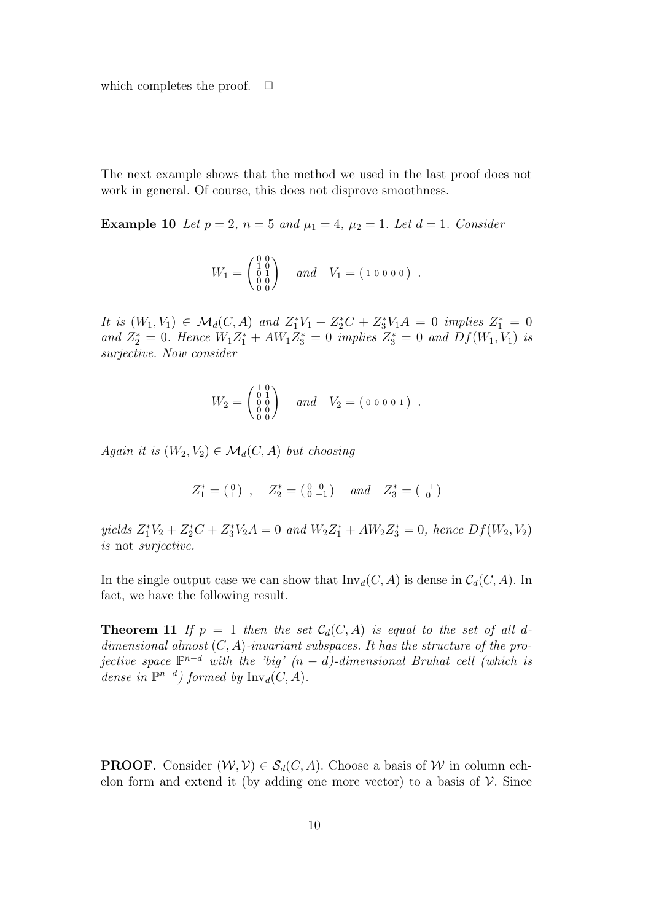which completes the proof.  $\Box$ 

The next example shows that the method we used in the last proof does not work in general. Of course, this does not disprove smoothness.

**Example 10** Let  $p = 2$ ,  $n = 5$  and  $\mu_1 = 4$ ,  $\mu_2 = 1$ . Let  $d = 1$ . Consider

$$
W_1 = \begin{pmatrix} 0 & 0 \\ 1 & 0 \\ 0 & 1 \\ 0 & 0 \end{pmatrix} \quad and \quad V_1 = (1 \ 0 \ 0 \ 0 \ 0) .
$$

It is  $(W_1, V_1) \in \mathcal{M}_d(C, A)$  and  $Z_1^*V_1 + Z_2^*C + Z_3^*V_1A = 0$  implies  $Z_1^* = 0$ and  $Z_2^* = 0$ . Hence  $W_1 Z_1^* + AW_1 Z_3^* = 0$  implies  $Z_3^* = 0$  and  $Df(W_1, V_1)$  is surjective. Now consider

$$
W_2 = \begin{pmatrix} 1 & 0 \\ 0 & 1 \\ 0 & 0 \\ 0 & 0 \\ 0 & 0 \end{pmatrix} \quad and \quad V_2 = (0 \ 0 \ 0 \ 0 \ 1) .
$$

Again it is  $(W_2, V_2) \in \mathcal{M}_d(C, A)$  but choosing

$$
Z_1^* = \left( \begin{smallmatrix} 0 \\ 1 \end{smallmatrix} \right) \ , \quad Z_2^* = \left( \begin{smallmatrix} 0 & 0 \\ 0 & -1 \end{smallmatrix} \right) \quad and \quad Z_3^* = \left( \begin{smallmatrix} -1 \\ 0 \end{smallmatrix} \right)
$$

yields  $Z_1^*V_2 + Z_2^*C + Z_3^*V_2A = 0$  and  $W_2Z_1^* + AW_2Z_3^* = 0$ , hence  $Df(W_2, V_2)$ is not surjective.

In the single output case we can show that  $\text{Inv}_d(C, A)$  is dense in  $\mathcal{C}_d(C, A)$ . In fact, we have the following result.

**Theorem 11** If  $p = 1$  then the set  $C_d(C, A)$  is equal to the set of all ddimensional almost  $(C, A)$ -invariant subspaces. It has the structure of the projective space  $\mathbb{P}^{n-d}$  with the 'big'  $(n-d)$ -dimensional Bruhat cell (which is dense in  $\mathbb{P}^{n-d}$  formed by  $\text{Inv}_d(C, A)$ .

**PROOF.** Consider  $(W, V) \in S_d(C, A)$ . Choose a basis of W in column echelon form and extend it (by adding one more vector) to a basis of  $V$ . Since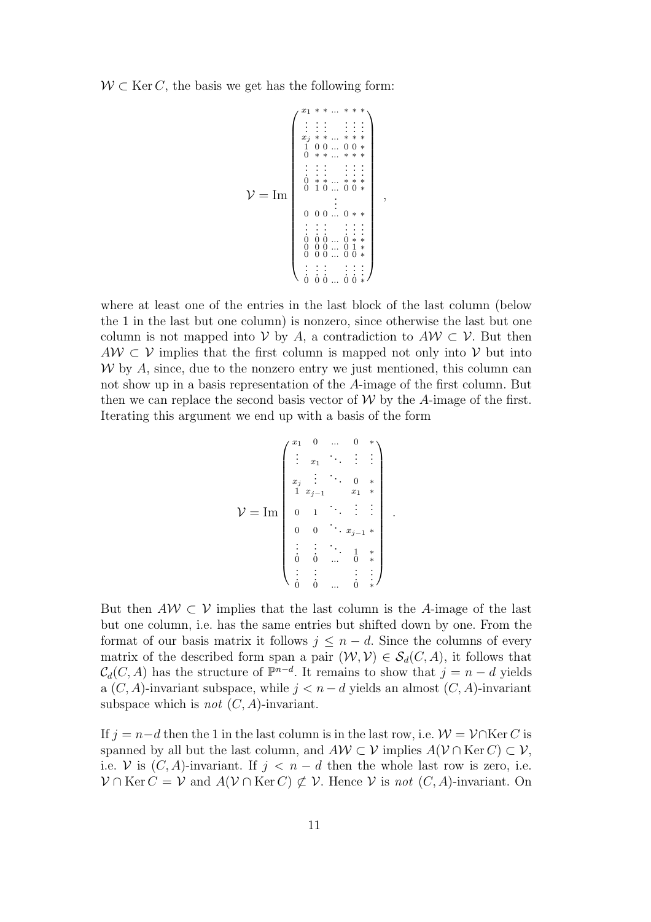$W \subset \text{Ker } C$ , the basis we get has the following form:

$$
\mathcal{V} = \mathrm{Im} \left\{ \begin{array}{c} x_1 * * ... * * * \\ \vdots & \vdots & \vdots & \vdots \\ x_j * * ... * * * * \\ 1 & 0 & 0 & ... & 0 & * \\ 0 & * * ... * * * * \\ \vdots & \vdots & \vdots & \vdots & \vdots \\ 0 & * * ... * * * * \\ 0 & 1 & 0 & ... & 0 & * \\ 0 & 1 & 0 & ... & 0 & * \\ \vdots & \vdots & \vdots & \vdots & \vdots & \vdots \\ 0 & 0 & 0 & ... & 0 & * \\ 0 & 0 & 0 & ... & 0 & * \\ 0 & 0 & 0 & ... & 0 & * \\ \vdots & \vdots & \vdots & \vdots & \vdots & \vdots \\ 0 & 0 & 0 & ... & 0 & * \\ \vdots & \vdots & \vdots & \vdots & \vdots & \vdots \\ 0 & 0 & 0 & ... & 0 & * \\ \end{array} \right\},
$$

where at least one of the entries in the last block of the last column (below the 1 in the last but one column) is nonzero, since otherwise the last but one column is not mapped into V by A, a contradiction to  $A \mathcal{W} \subset \mathcal{V}$ . But then  $AW \subset V$  implies that the first column is mapped not only into V but into  $W$  by A, since, due to the nonzero entry we just mentioned, this column can not show up in a basis representation of the A-image of the first column. But then we can replace the second basis vector of  $W$  by the A-image of the first. Iterating this argument we end up with a basis of the form

$$
\mathcal{V} = \text{Im} \begin{pmatrix} x_1 & 0 & \dots & 0 & * \\ \vdots & x_1 & \ddots & \vdots & \vdots \\ x_j & \vdots & \ddots & 0 & * \\ 1 & x_{j-1} & x_1 & * \\ \vdots & \vdots & \ddots & \vdots & \vdots \\ 0 & 0 & \ddots & x_{j-1} & * \\ \vdots & \vdots & \ddots & 1 & * \\ 0 & 0 & \dots & 0 & * \\ \vdots & \vdots & \vdots & \vdots & \vdots \\ 0 & 0 & \dots & 0 & * \end{pmatrix}.
$$

But then  $A\mathcal{W} \subset \mathcal{V}$  implies that the last column is the A-image of the last but one column, i.e. has the same entries but shifted down by one. From the format of our basis matrix it follows  $j \leq n - d$ . Since the columns of every matrix of the described form span a pair  $(W, V) \in S_d(C, A)$ , it follows that  $\mathcal{C}_d(C, A)$  has the structure of  $\mathbb{P}^{n-d}$ . It remains to show that  $j = n-d$  yields a  $(C, A)$ -invariant subspace, while  $j < n-d$  yields an almost  $(C, A)$ -invariant subspace which is *not*  $(C, A)$ -invariant.

If  $j = n-d$  then the 1 in the last column is in the last row, i.e.  $\mathcal{W} = \mathcal{V} \cap \text{Ker } C$  is spanned by all but the last column, and  $A \mathcal{W} \subset \mathcal{V}$  implies  $A(\mathcal{V} \cap \text{Ker } C) \subset \mathcal{V}$ , i.e. V is  $(C, A)$ -invariant. If  $j < n - d$  then the whole last row is zero, i.e.  $\mathcal{V} \cap \text{Ker } C = \mathcal{V}$  and  $A(\mathcal{V} \cap \text{Ker } C) \not\subset \mathcal{V}$ . Hence  $\mathcal{V}$  is not  $(C, A)$ -invariant. On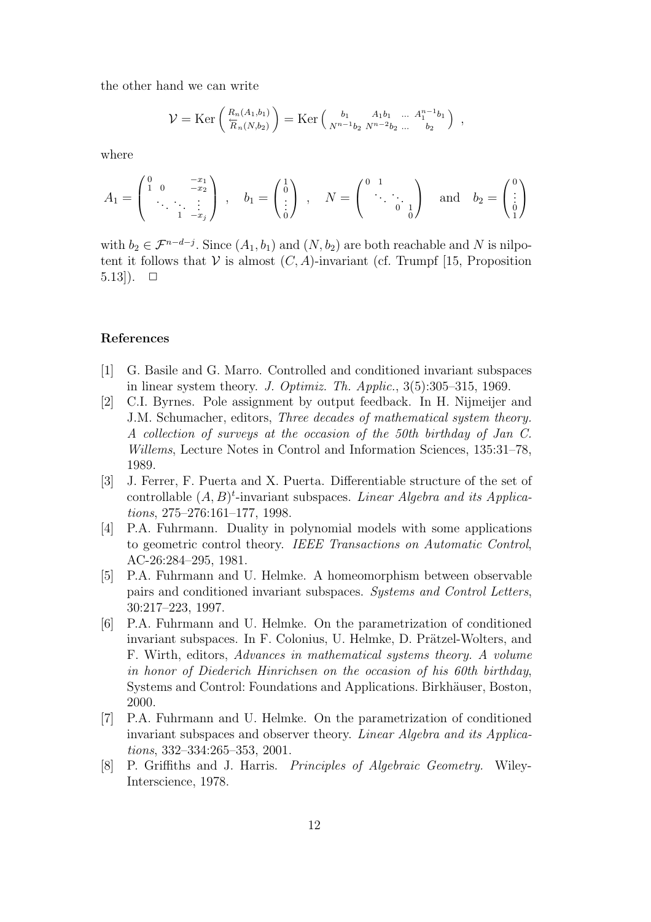the other hand we can write

$$
\mathcal{V} = \text{Ker}\left(\frac{R_n(A_1,b_1)}{R_n(N,b_2)}\right) = \text{Ker}\left(\frac{b_1}{N^{n-1}b_2} \frac{A_1b_1}{N^{n-2}b_2} \dots \frac{A_1^{n-1}b_1}{b_2}\right) ,
$$

where

$$
A_1 = \begin{pmatrix} 0 & -x_1 \\ 1 & 0 & -x_2 \\ \ddots & \ddots & \vdots \\ 1 & -x_j \end{pmatrix} \,, \quad b_1 = \begin{pmatrix} 1 \\ 0 \\ \vdots \\ 0 \end{pmatrix} \,, \quad N = \begin{pmatrix} 0 & 1 \\ \ddots & \ddots \\ 0 & 0 \end{pmatrix} \quad \text{and} \quad b_2 = \begin{pmatrix} 0 \\ \vdots \\ 0 \\ 1 \end{pmatrix}
$$

with  $b_2 \in \mathcal{F}^{n-d-j}$ . Since  $(A_1, b_1)$  and  $(N, b_2)$  are both reachable and N is nilpotent it follows that  $V$  is almost  $(C, A)$ -invariant (cf. Trumpf [15, Proposition 5.13]).  $\Box$ 

#### References

- [1] G. Basile and G. Marro. Controlled and conditioned invariant subspaces in linear system theory. J. Optimiz. Th. Applic.,  $3(5):305-315$ , 1969.
- [2] C.I. Byrnes. Pole assignment by output feedback. In H. Nijmeijer and J.M. Schumacher, editors, Three decades of mathematical system theory. A collection of surveys at the occasion of the 50th birthday of Jan C. Willems, Lecture Notes in Control and Information Sciences, 135:31–78, 1989.
- [3] J. Ferrer, F. Puerta and X. Puerta. Differentiable structure of the set of controllable  $(A, B)^t$ -invariant subspaces. Linear Algebra and its Applications, 275–276:161–177, 1998.
- [4] P.A. Fuhrmann. Duality in polynomial models with some applications to geometric control theory. IEEE Transactions on Automatic Control, AC-26:284–295, 1981.
- [5] P.A. Fuhrmann and U. Helmke. A homeomorphism between observable pairs and conditioned invariant subspaces. Systems and Control Letters, 30:217–223, 1997.
- [6] P.A. Fuhrmann and U. Helmke. On the parametrization of conditioned invariant subspaces. In F. Colonius, U. Helmke, D. Prätzel-Wolters, and F. Wirth, editors, Advances in mathematical systems theory. A volume in honor of Diederich Hinrichsen on the occasion of his 60th birthday, Systems and Control: Foundations and Applications. Birkhäuser, Boston, 2000.
- [7] P.A. Fuhrmann and U. Helmke. On the parametrization of conditioned invariant subspaces and observer theory. Linear Algebra and its Applications, 332–334:265–353, 2001.
- [8] P. Griffiths and J. Harris. Principles of Algebraic Geometry. Wiley-Interscience, 1978.